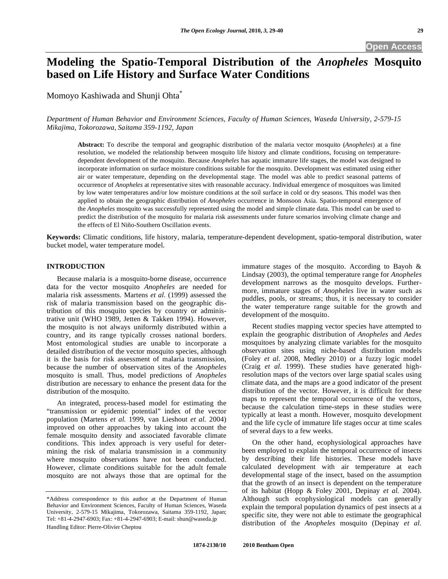# **Modeling the Spatio-Temporal Distribution of the** *Anopheles* **Mosquito based on Life History and Surface Water Conditions**

Momoyo Kashiwada and Shunji Ohta\*

*Department of Human Behavior and Environment Sciences, Faculty of Human Sciences, Waseda University, 2-579-15 Mikajima, Tokorozawa, Saitama 359-1192, Japan* 

**Abstract:** To describe the temporal and geographic distribution of the malaria vector mosquito (*Anopheles*) at a fine resolution, we modeled the relationship between mosquito life history and climate conditions, focusing on temperaturedependent development of the mosquito. Because *Anopheles* has aquatic immature life stages, the model was designed to incorporate information on surface moisture conditions suitable for the mosquito. Development was estimated using either air or water temperature, depending on the developmental stage. The model was able to predict seasonal patterns of occurrence of *Anopheles* at representative sites with reasonable accuracy. Individual emergence of mosquitoes was limited by low water temperatures and/or low moisture conditions at the soil surface in cold or dry seasons. This model was then applied to obtain the geographic distribution of *Anopheles* occurrence in Monsoon Asia. Spatio-temporal emergence of the *Anopheles* mosquito was successfully represented using the model and simple climate data. This model can be used to predict the distribution of the mosquito for malaria risk assessments under future scenarios involving climate change and the effects of El Niño-Southern Oscillation events.

**Keywords:** Climatic conditions, life history, malaria, temperature-dependent development, spatio-temporal distribution, water bucket model, water temperature model.

## **INTRODUCTION**

 Because malaria is a mosquito-borne disease, occurrence data for the vector mosquito *Anopheles* are needed for malaria risk assessments. Martens *et al.* (1999) assessed the risk of malaria transmission based on the geographic distribution of this mosquito species by country or administrative unit (WHO 1989, Jetten & Takken 1994). However, the mosquito is not always uniformly distributed within a country, and its range typically crosses national borders. Most entomological studies are unable to incorporate a detailed distribution of the vector mosquito species, although it is the basis for risk assessment of malaria transmission, because the number of observation sites of the *Anopheles* mosquito is small. Thus, model predictions of *Anopheles* distribution are necessary to enhance the present data for the distribution of the mosquito.

 An integrated, process-based model for estimating the "transmission or epidemic potential" index of the vector population (Martens *et al.* 1999, van Lieshout *et al.* 2004) improved on other approaches by taking into account the female mosquito density and associated favorable climate conditions. This index approach is very useful for determining the risk of malaria transmission in a community where mosquito observations have not been conducted. However, climate conditions suitable for the adult female mosquito are not always those that are optimal for the

immature stages of the mosquito. According to Bayoh & Lindsay (2003), the optimal temperature range for *Anopheles* development narrows as the mosquito develops. Furthermore, immature stages of *Anopheles* live in water such as puddles, pools, or streams; thus, it is necessary to consider the water temperature range suitable for the growth and development of the mosquito.

 Recent studies mapping vector species have attempted to explain the geographic distribution of *Anopheles* and *Aedes* mosquitoes by analyzing climate variables for the mosquito observation sites using niche-based distribution models (Foley *et al.* 2008, Medley 2010) or a fuzzy logic model (Craig *et al.* 1999). These studies have generated highresolution maps of the vectors over large spatial scales using climate data, and the maps are a good indicator of the present distribution of the vector. However, it is difficult for these maps to represent the temporal occurrence of the vectors, because the calculation time-steps in these studies were typically at least a month. However, mosquito development and the life cycle of immature life stages occur at time scales of several days to a few weeks.

 On the other hand, ecophysiological approaches have been employed to explain the temporal occurrence of insects by describing their life histories. These models have calculated development with air temperature at each developmental stage of the insect, based on the assumption that the growth of an insect is dependent on the temperature of its habitat (Hopp & Foley 2001, Depinay *et al.* 2004). Although such ecophysiological models can generally explain the temporal population dynamics of pest insects at a specific site, they were not able to estimate the geographical distribution of the *Anopheles* mosquito (Depinay *et al.*

<sup>\*</sup>Address correspondence to this author at the Department of Human Behavior and Environment Sciences, Faculty of Human Sciences, Waseda University, 2-579-15 Mikajima, Tokorozawa, Saitama 359-1192, Japan; Tel: +81-4-2947-6903; Fax: +81-4-2947-6903; E-mail: shun@waseda.jp Handling Editor: Pierre-Olivier Cheptou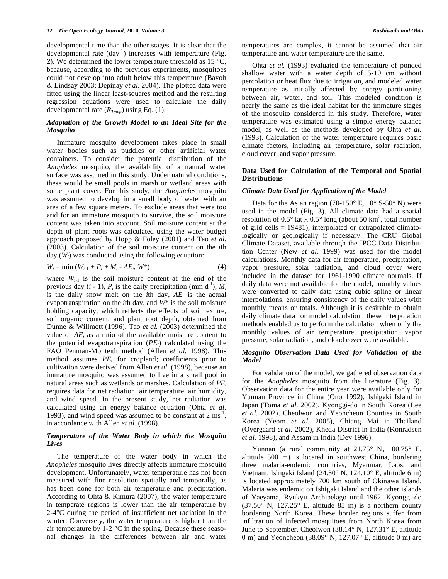developmental time than the other stages. It is clear that the developmental rate  $(\text{day}^{-1})$  increases with temperature (Fig. **2**). We determined the lower temperature threshold as 15 °C, because, according to the previous experiments, mosquitoes could not develop into adult below this temperature (Bayoh & Lindsay 2003; Depinay *et al*. 2004). The plotted data were fitted using the linear least-squares method and the resulting regression equations were used to calculate the daily developmental rate  $(R_{Temp})$  using Eq. (1).

### *Adaptation of the Growth Model to an Ideal Site for the Mosquito*

 Immature mosquito development takes place in small water bodies such as puddles or other artificial water containers. To consider the potential distribution of the *Anopheles* mosquito, the availability of a natural water surface was assumed in this study. Under natural conditions, these would be small pools in marsh or wetland areas with some plant cover. For this study, the *Anopheles* mosquito was assumed to develop in a small body of water with an area of a few square meters. To exclude areas that were too arid for an immature mosquito to survive, the soil moisture content was taken into account. Soil moisture content at the depth of plant roots was calculated using the water budget approach proposed by Hopp & Foley (2001) and Tao *et al.* (2003). Calculation of the soil moisture content on the *i*th day (*Wi*) was conducted using the following equation:

$$
W_i = \min (W_{i-1} + P_i + M_i - AE_i, W^*)
$$
 (4)

where  $W_{i-1}$  is the soil moisture content at the end of the previous day  $(i - 1)$ ,  $P_i$  is the daily precipitation (mm d<sup>-1</sup>),  $M_i$ is the daily snow melt on the *i*th day, *AEi* is the actual evapotranspiration on the *i*th day, and *W*\* is the soil moisture holding capacity, which reflects the effects of soil texture, soil organic content, and plant root depth, obtained from Dunne & Willmott (1996). Tao *et al.* (2003) determined the value of  $AE_i$  as a ratio of the available moisture content to the potential evapotranspiration (*PEi*) calculated using the FAO Penman-Monteith method (Allen *et al.* 1998). This method assumes *PE<sub>i</sub>* for cropland; coefficients prior to cultivation were derived from Allen *et al.* (1998), because an immature mosquito was assumed to live in a small pool in natural areas such as wetlands or marshes. Calculation of *PEi* requires data for net radiation, air temperature, air humidity, and wind speed. In the present study, net radiation was calculated using an energy balance equation (Ohta *et al.* 1993), and wind speed was assumed to be constant at  $2 \text{ ms}^{-1}$ , in accordance with Allen *et al.* (1998).

# *Temperature of the Water Body in which the Mosquito Lives*

 The temperature of the water body in which the *Anopheles* mosquito lives directly affects immature mosquito development. Unfortunately, water temperature has not been measured with fine resolution spatially and temporally, as has been done for both air temperature and precipitation. According to Ohta & Kimura (2007), the water temperature in temperate regions is lower than the air temperature by 2-4°C during the period of insufficient net radiation in the winter. Conversely, the water temperature is higher than the air temperature by 1-2 °C in the spring. Because these seasonal changes in the differences between air and water temperatures are complex, it cannot be assumed that air temperature and water temperature are the same.

 Ohta *et al.* (1993) evaluated the temperature of ponded shallow water with a water depth of 5-10 cm without percolation or heat flux due to irrigation, and modeled water temperature as initially affected by energy partitioning between air, water, and soil. This modeled condition is nearly the same as the ideal habitat for the immature stages of the mosquito considered in this study. Therefore, water temperature was estimated using a simple energy balance model, as well as the methods developed by Ohta *et al.* (1993). Calculation of the water temperature requires basic climate factors, including air temperature, solar radiation, cloud cover, and vapor pressure.

#### **Data Used for Calculation of the Temporal and Spatial Distributions**

#### *Climate Data Used for Application of the Model*

Data for the Asian region (70-150 $\degree$  E, 10 $\degree$  S-50 $\degree$  N) were used in the model (Fig. **3**). All climate data had a spatial resolution of  $0.5^{\circ}$  lat  $\times 0.5^{\circ}$  long (about 50 km<sup>2</sup>, total number of grid cells = 19481), interpolated or extrapolated climatologically or geologically if necessary. The CRU Global Climate Dataset, available through the IPCC Data Distribution Center (New *et al.* 1999) was used for the model calculations. Monthly data for air temperature, precipitation, vapor pressure, solar radiation, and cloud cover were included in the dataset for 1961-1990 climate normals. If daily data were not available for the model, monthly values were converted to daily data using cubic spline or linear interpolations, ensuring consistency of the daily values with monthly means or totals. Although it is desirable to obtain daily climate data for model calculation, these interpolation methods enabled us to perform the calculation when only the monthly values of air temperature, precipitation, vapor pressure, solar radiation, and cloud cover were available.

## *Mosquito Observation Data Used for Validation of the Model*

 For validation of the model, we gathered observation data for the *Anopheles* mosquito from the literature (Fig. **3**). Observation data for the entire year were available only for Yunnan Province in China (Ono 1992), Ishigaki Island in Japan (Toma *et al.* 2002), Kyonggi-do in South Korea (Lee *et al.* 2002), Cheolwon and Yeoncheon Counties in South Korea (Yeom *et al.* 2005), Chiang Mai in Thailand (Overgaard *et al.* 2002), Kheda District in India (Konradsen *et al.* 1998), and Assam in India (Dev 1996).

Yunnan (a rural community at  $21.75^{\circ}$  N,  $100.75^{\circ}$  E, altitude 500 m) is located in southwest China, bordering three malaria-endemic countries, Myanmar, Laos, and Vietnam. Ishigaki Island (24.30° N, 124.10° E, altitude 6 m) is located approximately 700 km south of Okinawa Island. Malaria was endemic on Ishigaki Island and the other islands of Yaeyama, Ryukyu Archipelago until 1962. Kyonggi-do  $(37.50^{\circ}$  N,  $127.25^{\circ}$  E, altitude 85 m) is a northern county bordering North Korea. These border regions suffer from infiltration of infected mosquitoes from North Korea from June to September. Cheolwon (38.14° N, 127.31° E, altitude 0 m) and Yeoncheon (38.09 $^{\circ}$  N, 127.07 $^{\circ}$  E, altitude 0 m) are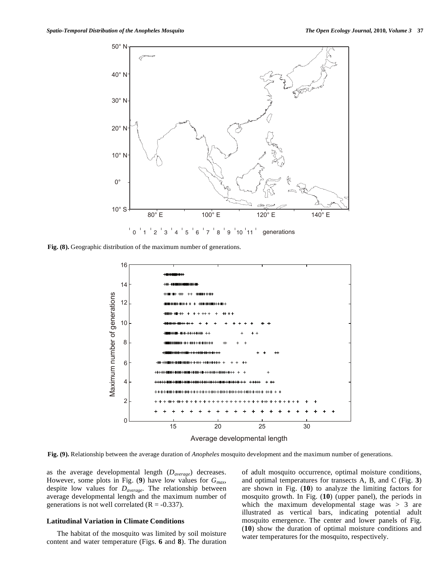

**Fig. (8).** Geographic distribution of the maximum number of generations.



Average developmental length

**Fig. (9).** Relationship between the average duration of *Anopheles* mosquito development and the maximum number of generations.

as the average developmental length (*Daverage*) decreases. However, some plots in Fig. (**9**) have low values for *Gmax*, despite low values for *Daverage*. The relationship between average developmental length and the maximum number of generations is not well correlated  $(R = -0.337)$ .

## **Latitudinal Variation in Climate Conditions**

 The habitat of the mosquito was limited by soil moisture content and water temperature (Figs. **6** and **8**). The duration of adult mosquito occurrence, optimal moisture conditions, and optimal temperatures for transects A, B, and C (Fig. **3**) are shown in Fig. (**10**) to analyze the limiting factors for mosquito growth. In Fig. (**10**) (upper panel), the periods in which the maximum developmental stage was  $> 3$  are illustrated as vertical bars, indicating potential adult mosquito emergence. The center and lower panels of Fig. (**10**) show the duration of optimal moisture conditions and water temperatures for the mosquito, respectively.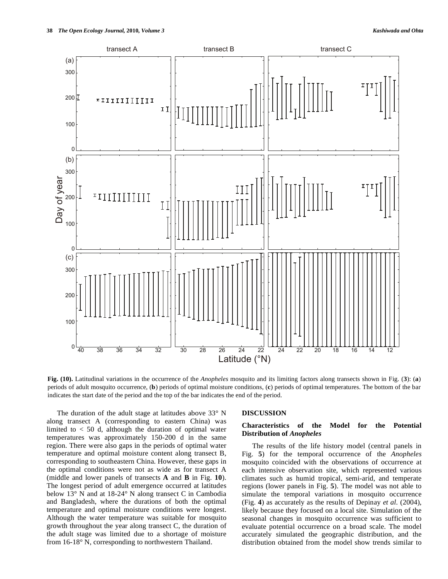

**Fig. (10).** Latitudinal variations in the occurrence of the *Anopheles* mosquito and its limiting factors along transects shown in Fig. (**3**): (**a**) periods of adult mosquito occurrence, (**b**) periods of optimal moisture conditions, (**c**) periods of optimal temperatures. The bottom of the bar indicates the start date of the period and the top of the bar indicates the end of the period.

 The duration of the adult stage at latitudes above 33° N along transect A (corresponding to eastern China) was limited to  $< 50$  d, although the duration of optimal water temperatures was approximately 150-200 d in the same region. There were also gaps in the periods of optimal water temperature and optimal moisture content along transect B, corresponding to southeastern China. However, these gaps in the optimal conditions were not as wide as for transect A (middle and lower panels of transects **A** and **B** in Fig. **10**). The longest period of adult emergence occurred at latitudes below 13° N and at 18-24° N along transect C in Cambodia and Bangladesh, where the durations of both the optimal temperature and optimal moisture conditions were longest. Although the water temperature was suitable for mosquito growth throughout the year along transect C, the duration of the adult stage was limited due to a shortage of moisture from 16-18° N, corresponding to northwestern Thailand.

#### **DISCUSSION**

## **Characteristics of the Model for the Potential Distribution of** *Anopheles*

 The results of the life history model (central panels in Fig. **5**) for the temporal occurrence of the *Anopheles* mosquito coincided with the observations of occurrence at each intensive observation site, which represented various climates such as humid tropical, semi-arid, and temperate regions (lower panels in Fig. **5**). The model was not able to simulate the temporal variations in mosquito occurrence (Fig. **4**) as accurately as the results of Depinay *et al.* (2004), likely because they focused on a local site. Simulation of the seasonal changes in mosquito occurrence was sufficient to evaluate potential occurrence on a broad scale. The model accurately simulated the geographic distribution, and the distribution obtained from the model show trends similar to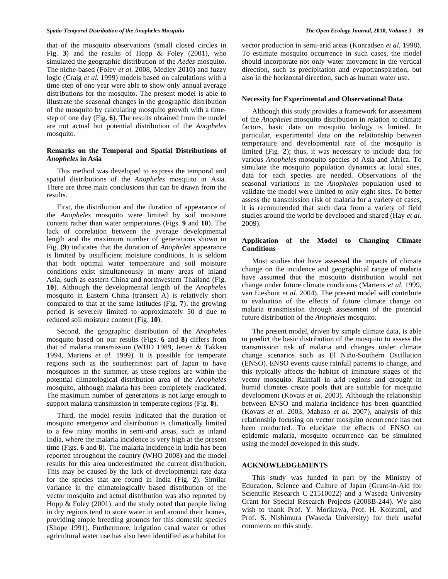that of the mosquito observations (small closed circles in Fig. **3**) and the results of Hopp & Foley (2001), who simulated the geographic distribution of the *Aedes* mosquito. The niche-based (Foley *et al.* 2008, Medley 2010) and fuzzy logic (Craig *et al.* 1999) models based on calculations with a time-step of one year were able to show only annual average distributions for the mosquito. The present model is able to illustrate the seasonal changes in the geographic distribution of the mosquito by calculating mosquito growth with a timestep of one day (Fig. **6**). The results obtained from the model are not actual but potential distribution of the *Anopheles* mosquito.

## **Remarks on the Temporal and Spatial Distributions of**  *Anopheles* **in Asia**

 This method was developed to express the temporal and spatial distributions of the *Anopheles* mosquito in Asia. There are three main conclusions that can be drawn from the results.

 First, the distribution and the duration of appearance of the *Anopheles* mosquito were limited by soil moisture content rather than water temperatures (Figs. **9** and **10**). The lack of correlation between the average developmental length and the maximum number of generations shown in Fig. (**9**) indicates that the duration of *Anopheles* appearance is limited by insufficient moisture conditions. It is seldom that both optimal water temperature and soil moisture conditions exist simultaneously in many areas of inland Asia, such as eastern China and northwestern Thailand (Fig. **10**). Although the developmental length of the *Anopheles* mosquito in Eastern China (transect A) is relatively short compared to that at the same latitudes (Fig. **7**), the growing period is severely limited to approximately 50 d due to reduced soil moisture content (Fig. **10**).

 Second, the geographic distribution of the *Anopheles* mosquito based on our results (Figs. **6** and **8**) differs from that of malaria transmission (WHO 1989, Jetten & Takken 1994, Martens *et al.* 1999). It is possible for temperate regions such as the southernmost part of Japan to have mosquitoes in the summer, as these regions are within the potential climatological distribution area of the *Anopheles* mosquito, although malaria has been completely eradicated. The maximum number of generations is not large enough to support malaria transmission in temperate regions (Fig. **8**).

 Third, the model results indicated that the duration of mosquito emergence and distribution is climatically limited to a few rainy months in semi-arid areas, such as inland India, where the malaria incidence is very high at the present time (Figs. **6** and **8**). The malaria incidence in India has been reported throughout the country (WHO 2008) and the model results for this area underestimated the current distribution. This may be caused by the lack of developmental rate data for the species that are found in India (Fig. **2**). Similar variance in the climatologically based distribution of the vector mosquito and actual distribution was also reported by Hopp & Foley (2001), and the study noted that people living in dry regions tend to store water in and around their homes, providing ample breeding grounds for this domestic species (Shope 1991). Furthermore, irrigation canal water or other agricultural water use has also been identified as a habitat for

vector production in semi-arid areas (Konradsen *et al.* 1998). To estimate mosquito occurrence in such cases, the model should incorporate not only water movement in the vertical direction, such as precipitation and evapotranspiration, but also in the horizontal direction, such as human water use.

#### **Necessity for Experimental and Observational Data**

 Although this study provides a framework for assessment of the *Anopheles* mosquito distribution in relation to climate factors, basic data on mosquito biology is limited. In particular, experimental data on the relationship between temperature and developmental rate of the mosquito is limited (Fig. **2**); thus, it was necessary to include data for various *Anopheles* mosquito species of Asia and Africa. To simulate the mosquito population dynamics at local sites, data for each species are needed. Observations of the seasonal variations in the *Anopheles* population used to validate the model were limited to only eight sites. To better assess the transmission risk of malaria for a variety of cases, it is recommended that such data from a variety of field studies around the world be developed and shared (Hay *et al.* 2009).

## **Application of the Model to Changing Climate Conditions**

 Most studies that have assessed the impacts of climate change on the incidence and geographical range of malaria have assumed that the mosquito distribution would not change under future climate conditions (Martens *et al.* 1999, van Lieshout *et al.* 2004). The present model will contribute to evaluation of the effects of future climate change on malaria transmission through assessment of the potential future distribution of the *Anopheles* mosquito.

 The present model, driven by simple climate data, is able to predict the basic distribution of the mosquito to assess the transmission risk of malaria and changes under climate change scenarios such as El Niño-Southern Oscillation (ENSO). ENSO events cause rainfall patterns to change, and this typically affects the habitat of immature stages of the vector mosquito. Rainfall in arid regions and drought in humid climates create pools that are suitable for mosquito development (Kovats *et al.* 2003). Although the relationship between ENSO and malaria incidence has been quantified (Kovats *et al.* 2003, Mabaso *et al.* 2007), analysis of this relationship focusing on vector mosquito occurrence has not been conducted. To elucidate the effects of ENSO on epidemic malaria, mosquito occurrence can be simulated using the model developed in this study.

### **ACKNOWLEDGEMENTS**

 This study was funded in part by the Ministry of Education, Science and Culture of Japan (Grant-in-Aid for Scientific Research C-21510022) and a Waseda University Grant for Special Research Projects (2008B-244). We also wish to thank Prof. Y. Morikawa, Prof. H. Koizumi, and Prof. S. Nishimura (Waseda University) for their useful comments on this study.